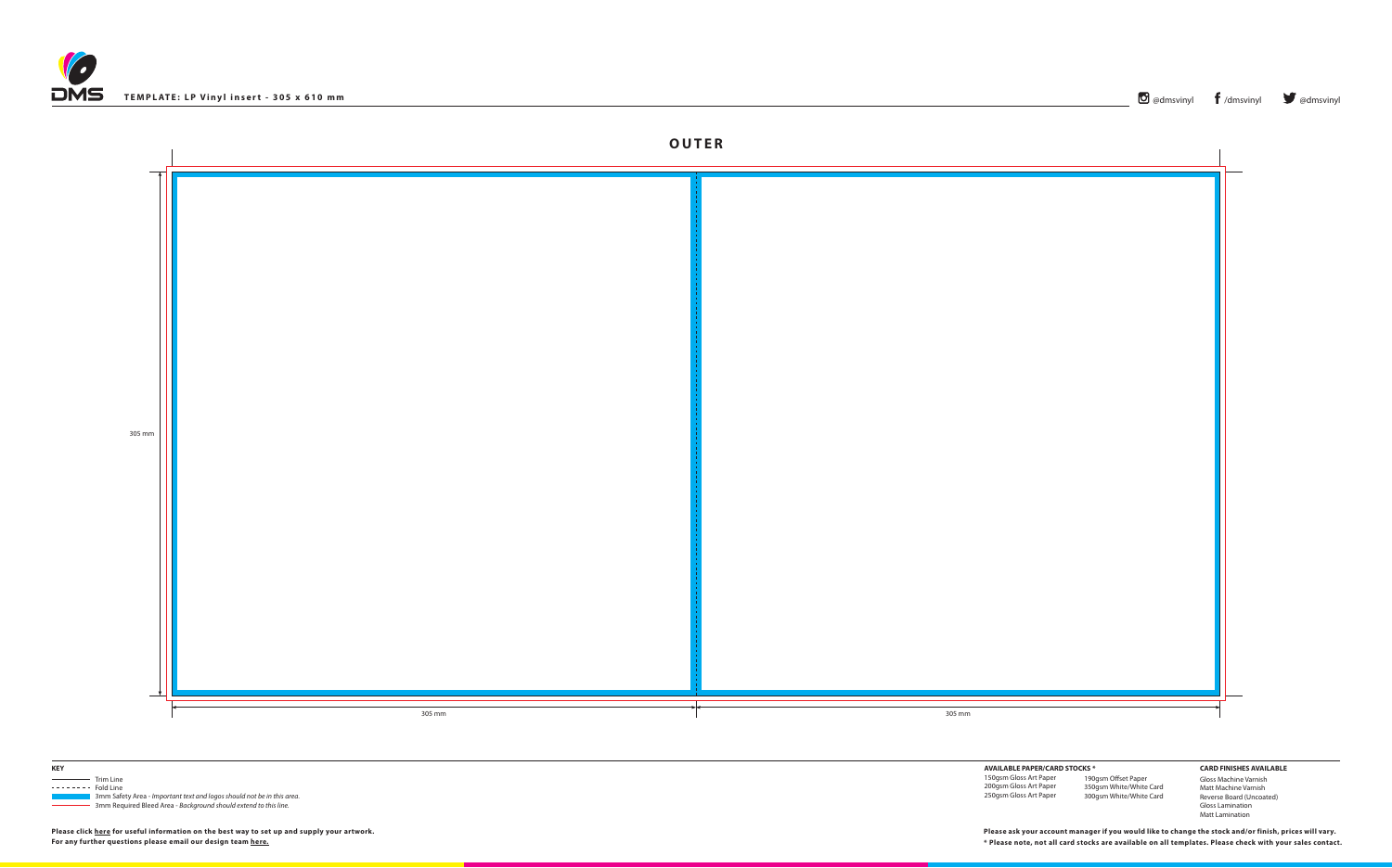





 3mm Safety Area - *Important text and logos should not be in this area*. 3mm Required Bleed Area - *Background should extend to this line.*

**Please click [here](http://www.discmanufacturingservices.com/vinyl/templates#artwork-specifications) for useful information on the best way to set up and supply your artwork.**

**For any further questions please email our design team [here](mailto:graphics%40discmanufacturingservices.com?subject=Template%20Enquiry). \* Please note, not all card stocks are available on all templates. Please check with your sales contact. Please ask your account manager if you would like to change the stock and/or finish, prices will vary.**

**AVAILABLE PAPER/CARD STOCKS \*** 150gsm Gloss Art Paper 200gsm Gloss Art Paper 250gsm Gloss Art Paper 190gsm Offset Paper 350gsm White/White Card 300gsm White/White Card

**CARD FINISHES AVAILABLE** Gloss Machine Varnish Matt Machine Varnish Reverse Board (Uncoated) Gloss Lamination

Matt Lamination